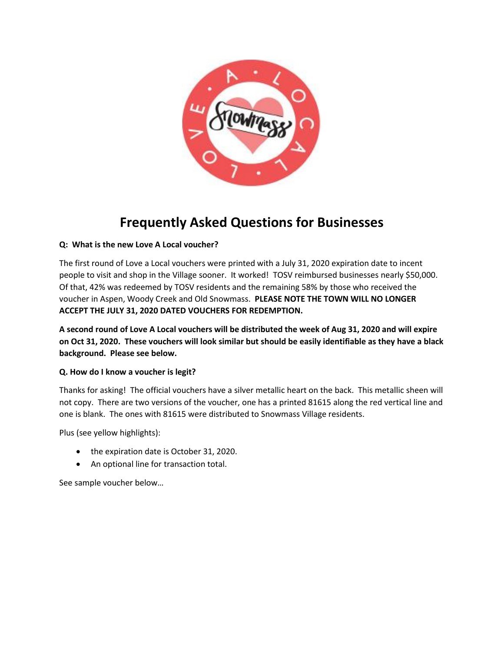

# **Frequently Asked Questions for Businesses**

## **Q: What is the new Love A Local voucher?**

The first round of Love a Local vouchers were printed with a July 31, 2020 expiration date to incent people to visit and shop in the Village sooner. It worked! TOSV reimbursed businesses nearly \$50,000. Of that, 42% was redeemed by TOSV residents and the remaining 58% by those who received the voucher in Aspen, Woody Creek and Old Snowmass. **PLEASE NOTE THE TOWN WILL NO LONGER ACCEPT THE JULY 31, 2020 DATED VOUCHERS FOR REDEMPTION.**

**A second round of Love A Local vouchers will be distributed the week of Aug 31, 2020 and will expire on Oct 31, 2020. These vouchers will look similar but should be easily identifiable as they have a black background. Please see below.**

## **Q. How do I know a voucher is legit?**

Thanks for asking! The official vouchers have a silver metallic heart on the back. This metallic sheen will not copy. There are two versions of the voucher, one has a printed 81615 along the red vertical line and one is blank. The ones with 81615 were distributed to Snowmass Village residents.

Plus (see yellow highlights):

- the expiration date is October 31, 2020.
- An optional line for transaction total.

See sample voucher below…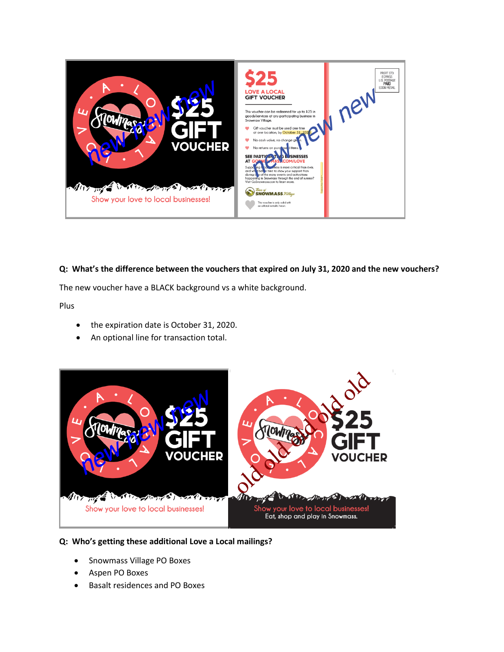

## **Q: What's the difference between the vouchers that expired on July 31, 2020 and the new vouchers?**

The new voucher have a BLACK background vs a white background.

Plus

- the expiration date is October 31, 2020.
- An optional line for transaction total.



# **Q: Who's getting these additional Love a Local mailings?**

- Snowmass Village PO Boxes
- Aspen PO Boxes
- Basalt residences and PO Boxes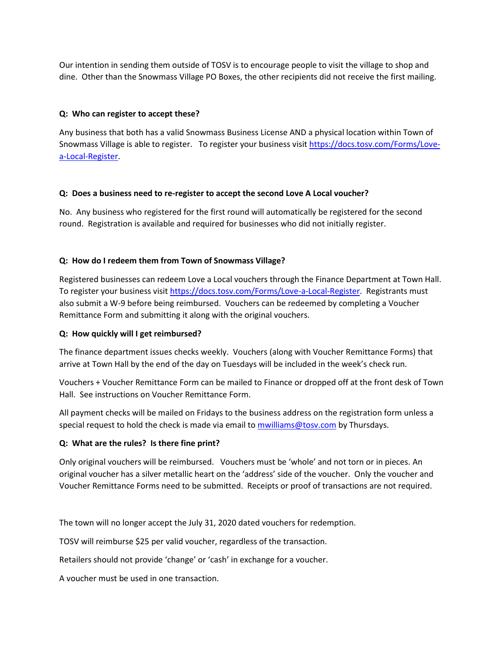Our intention in sending them outside of TOSV is to encourage people to visit the village to shop and dine. Other than the Snowmass Village PO Boxes, the other recipients did not receive the first mailing.

## **Q: Who can register to accept these?**

Any business that both has a valid Snowmass Business License AND a physical location within Town of Snowmass Village is able to register. To register your business visit [https://docs.tosv.com/Forms/Love](https://docs.tosv.com/Forms/Love-a-Local-Register)[a-Local-Register.](https://docs.tosv.com/Forms/Love-a-Local-Register)

## **Q: Does a business need to re-register to accept the second Love A Local voucher?**

No. Any business who registered for the first round will automatically be registered for the second round. Registration is available and required for businesses who did not initially register.

## **Q: How do I redeem them from Town of Snowmass Village?**

Registered businesses can redeem Love a Local vouchers through the Finance Department at Town Hall. To register your business visi[t https://docs.tosv.com/Forms/Love-a-Local-Register.](https://docs.tosv.com/Forms/Love-a-Local-Register) Registrants must also submit a W-9 before being reimbursed. Vouchers can be redeemed by completing a Voucher Remittance Form and submitting it along with the original vouchers.

## **Q: How quickly will I get reimbursed?**

The finance department issues checks weekly. Vouchers (along with Voucher Remittance Forms) that arrive at Town Hall by the end of the day on Tuesdays will be included in the week's check run.

Vouchers + Voucher Remittance Form can be mailed to Finance or dropped off at the front desk of Town Hall. See instructions on Voucher Remittance Form.

All payment checks will be mailed on Fridays to the business address on the registration form unless a special request to hold the check is made via email to [mwilliams@tosv.com](mailto:mwilliams@tosv.com) by Thursdays.

## **Q: What are the rules? Is there fine print?**

Only original vouchers will be reimbursed. Vouchers must be 'whole' and not torn or in pieces. An original voucher has a silver metallic heart on the 'address' side of the voucher. Only the voucher and Voucher Remittance Forms need to be submitted. Receipts or proof of transactions are not required.

The town will no longer accept the July 31, 2020 dated vouchers for redemption.

TOSV will reimburse \$25 per valid voucher, regardless of the transaction.

Retailers should not provide 'change' or 'cash' in exchange for a voucher.

A voucher must be used in one transaction.